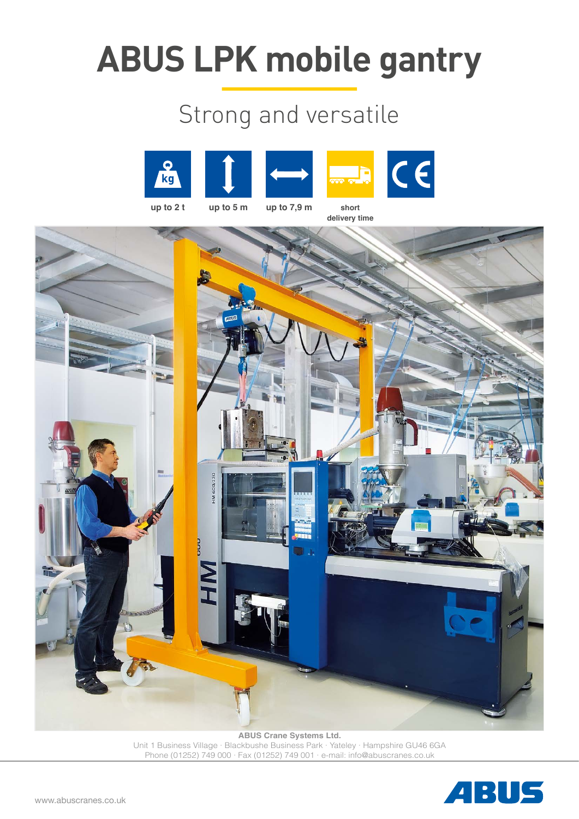# **ABUS LPK mobile gantry**

### Strong and versatile











**ABUS Crane Systems Ltd.** Unit 1 Business Village · Blackbushe Business Park · Yateley · Hampshire GU46 6GA Phone (01252) 749 000 · Fax (01252) 749 001 · e-mail: info@abuscranes.co.uk